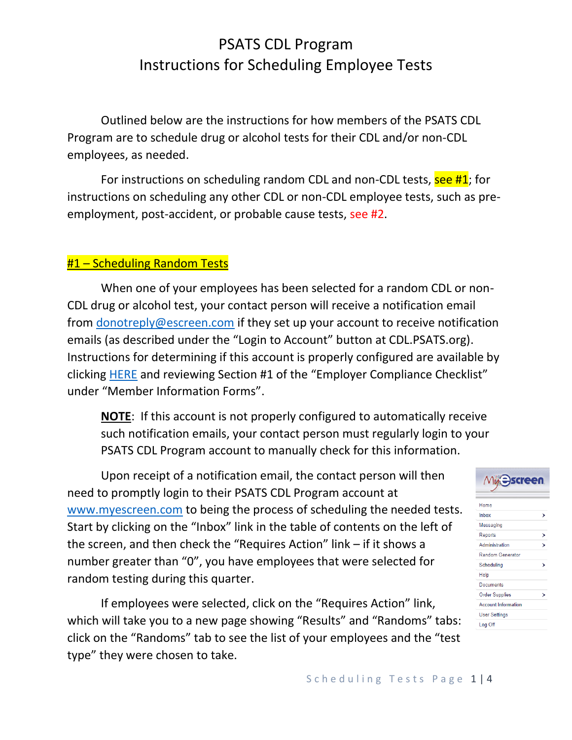Outlined below are the instructions for how members of the PSATS CDL Program are to schedule drug or alcohol tests for their CDL and/or non-CDL employees, as needed.

For instructions on scheduling random CDL and non-CDL tests, see #1; for instructions on scheduling any other CDL or non-CDL employee tests, such as preemployment, post-accident, or probable cause tests, see #2.

#### #1 – Scheduling Random Tests

When one of your employees has been selected for a random CDL or non-CDL drug or alcohol test, your contact person will receive a notification email from [donotreply@escreen.com](mailto:donotreply@escreen.com) if they set up your account to receive notification emails (as described under the "Login to Account" button at CDL.PSATS.org). Instructions for determining if this account is properly configured are available by clicking [HERE](https://www.psats.org/cdl-documents/) and reviewing Section #1 of the "Employer Compliance Checklist" under "Member Information Forms".

**NOTE**: If this account is not properly configured to automatically receive such notification emails, your contact person must regularly login to your PSATS CDL Program account to manually check for this information.

Upon receipt of a notification email, the contact person will then need to promptly login to their PSATS CDL Program account at [www.myescreen.com](http://www.myescreen.com/) to being the process of scheduling the needed tests. Start by clicking on the "Inbox" link in the table of contents on the left of the screen, and then check the "Requires Action" link – if it shows a number greater than "0", you have employees that were selected for random testing during this quarter.

If employees were selected, click on the "Requires Action" link, which will take you to a new page showing "Results" and "Randoms" tabs: click on the "Randoms" tab to see the list of your employees and the "test type" they were chosen to take.

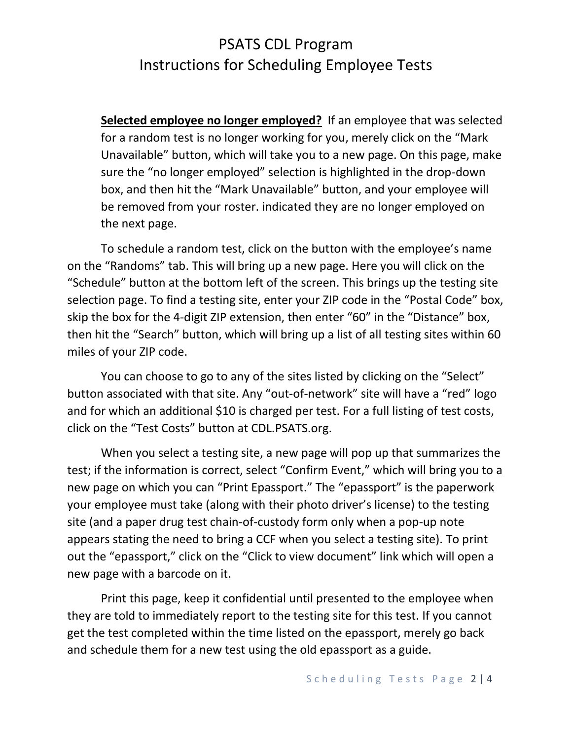**Selected employee no longer employed?** If an employee that was selected for a random test is no longer working for you, merely click on the "Mark Unavailable" button, which will take you to a new page. On this page, make sure the "no longer employed" selection is highlighted in the drop-down box, and then hit the "Mark Unavailable" button, and your employee will be removed from your roster. indicated they are no longer employed on the next page.

To schedule a random test, click on the button with the employee's name on the "Randoms" tab. This will bring up a new page. Here you will click on the "Schedule" button at the bottom left of the screen. This brings up the testing site selection page. To find a testing site, enter your ZIP code in the "Postal Code" box, skip the box for the 4-digit ZIP extension, then enter "60" in the "Distance" box, then hit the "Search" button, which will bring up a list of all testing sites within 60 miles of your ZIP code.

You can choose to go to any of the sites listed by clicking on the "Select" button associated with that site. Any "out-of-network" site will have a "red" logo and for which an additional \$10 is charged per test. For a full listing of test costs, click on the "Test Costs" button at CDL.PSATS.org.

When you select a testing site, a new page will pop up that summarizes the test; if the information is correct, select "Confirm Event," which will bring you to a new page on which you can "Print Epassport." The "epassport" is the paperwork your employee must take (along with their photo driver's license) to the testing site (and a paper drug test chain-of-custody form only when a pop-up note appears stating the need to bring a CCF when you select a testing site). To print out the "epassport," click on the "Click to view document" link which will open a new page with a barcode on it.

Print this page, keep it confidential until presented to the employee when they are told to immediately report to the testing site for this test. If you cannot get the test completed within the time listed on the epassport, merely go back and schedule them for a new test using the old epassport as a guide.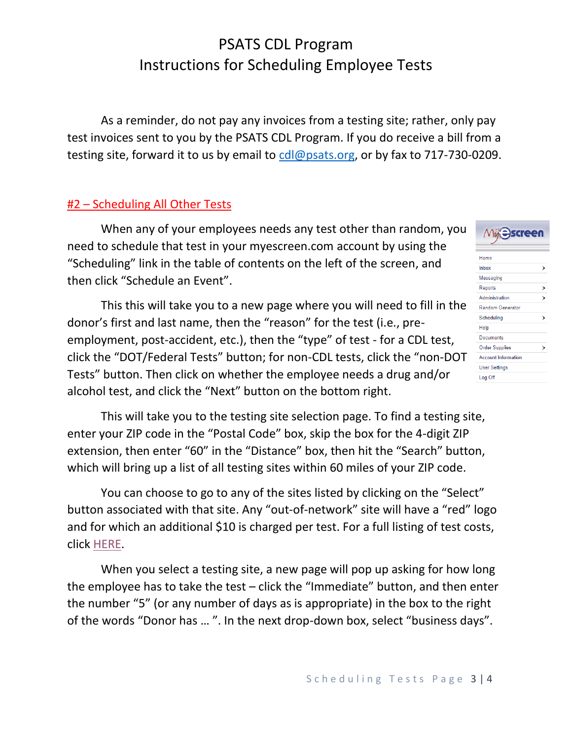As a reminder, do not pay any invoices from a testing site; rather, only pay test invoices sent to you by the PSATS CDL Program. If you do receive a bill from a testing site, forward it to us by email to coll@psats.org, or by fax to 717-730-0209.

#### #2 – Scheduling All Other Tests

When any of your employees needs any test other than random, you need to schedule that test in your myescreen.com account by using the "Scheduling" link in the table of contents on the left of the screen, and then click "Schedule an Event".

This this will take you to a new page where you will need to fill in the donor's first and last name, then the "reason" for the test (i.e., preemployment, post-accident, etc.), then the "type" of test - for a CDL test, click the "DOT/Federal Tests" button; for non-CDL tests, click the "non-DOT Tests" button. Then click on whether the employee needs a drug and/or alcohol test, and click the "Next" button on the bottom right.

This will take you to the testing site selection page. To find a testing site, enter your ZIP code in the "Postal Code" box, skip the box for the 4-digit ZIP extension, then enter "60" in the "Distance" box, then hit the "Search" button, which will bring up a list of all testing sites within 60 miles of your ZIP code.

You can choose to go to any of the sites listed by clicking on the "Select" button associated with that site. Any "out-of-network" site will have a "red" logo and for which an additional \$10 is charged per test. For a full listing of test costs, click [HERE.](https://www.psats.org/wp-content/uploads/2020/11/Test-Costs-button.pdf)

When you select a testing site, a new page will pop up asking for how long the employee has to take the test – click the "Immediate" button, and then enter the number "5" (or any number of days as is appropriate) in the box to the right of the words "Donor has … ". In the next drop-down box, select "business days".